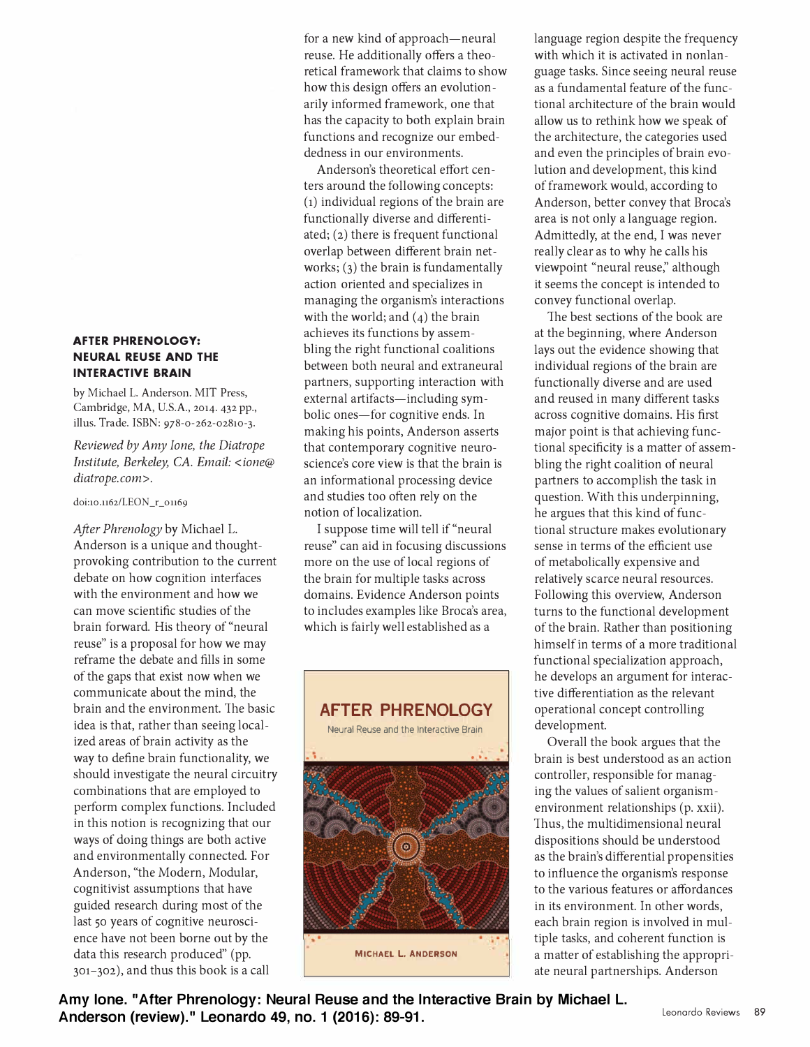## **AFTER PHRENOLOGY: NEURAL REUSE AND THE INTERACTIVE BRAIN**

by Michael L. Anderson. MIT Press, Cambridge, MA, U.S.A., 2014. 432 pp., illus. Trade. ISBN: 978-0-262-02810-3.

*Reviewed by Amy Ione, the Diatrope Institute, Berkeley, CA. Email: <ione@ diatrope.com>.* 

doi:10.1162/LEON\_r\_o1169

*After Phrenology* by Michael L. Anderson is a unique and thoughtprovoking contribution to the current debate on how cognition interfaces with the environment and how we can move scientific studies of the brain forward. His theory of "neural reuse" is a proposal for how we may reframe the debate and fills in some of the gaps that exist now when we communicate about the mind, the brain and the environment. The basic idea is that, rather than seeing localized areas of brain activity as the way to define brain functionality, we should investigate the neural circuitry combinations that are employed to perform complex functions. Included in this notion is recognizing that our ways of doing things are both active and environmentally connected. For Anderson, "the Modern, Modular, cognitivist assumptions that have guided research during most of the last 50 years of cognitive neuroscience have not been borne out by the data this research produced" (pp. 301-302), and thus this book is a call

for a new kind of approach—neural reuse. He additionally offers a theoretical framework that claims to show how this design offers an evolution arily informed framework, one that has the capacity to both explain brain functions and recognize our embeddedness in our environments.

Anderson's theoretical effort centers around the following concepts: (1) individual regions of the brain are functionally diverse and differentiated; (2) there is frequent functional overlap between different brain networks; (3) the brain is fundamentally action oriented and specializes in managing the organism's interactions with the world; and  $(4)$  the brain achieves its functions by assembling the right functional coalitions between both neural and extraneural partners, supporting interaction with external artifacts-including symbolic ones-for cognitive ends. In making his points, Anderson asserts that contemporary cognitive neuroscience's core view is that the brain is an informational processing device and studies too often rely on the notion of localization.

I suppose time will tell if "neural reuse" can aid in focusing discussions more on the use of local regions of the brain for multiple tasks across domains. Evidence Anderson points to includes examples like Broca's area, which is fairly well established as a



language region despite the frequency with which it is activated in nonlanguage tasks. Since seeing neural reuse as a fundamental feature of the functional architecture of the brain would allow us to rethink how we speak of the architecture, the categories used and even the principles of brain evolution and development, this kind of framework would, according to Anderson, better convey that Broca's area is not only a language region. Admittedly, at the end, I was never really clear as to why he calls his viewpoint "neural reuse," although it seems the concept is intended to convey functional overlap.

The best sections of the book are at the beginning, where Anderson lays out the evidence showing that individual regions of the brain are functionally diverse and are used and reused in many different tasks across cognitive domains. His first major point is that achieving functional specificity is a matter of assembling the right coalition of neural partners to accomplish the task in question. With this underpinning, he argues that this kind of functional structure makes evolutionary sense in terms of the efficient use of metabolically expensive and relatively scarce neural resources. Following this overview, Anderson turns to the functional development of the brain. Rather than positioning himself in terms of a more traditional functional specialization approach, he develops an argument for interactive differentiation as the relevant operational concept controlling development.

Overall the book argues that the brain is best understood as an action controller, responsible for managing the values of salient organismenvironment relationships (p. xxii). Thus, the multidimensional neural dispositions should be understood as the brain's differential propensities to influence the organism's response to the various features or affordances in its environment. In other words, each brain region is involved in multiple tasks, and coherent function is a matter of establishing the appropriate neural partnerships. Anderson

**Amy lone. "After Phrenology: Neural Reuse and the Interactive Brain by Michael L. Anderson (review)." Leonardo 49, no. 1 (2016): 89-91. Canal Constant Convention Convention Reviews** 89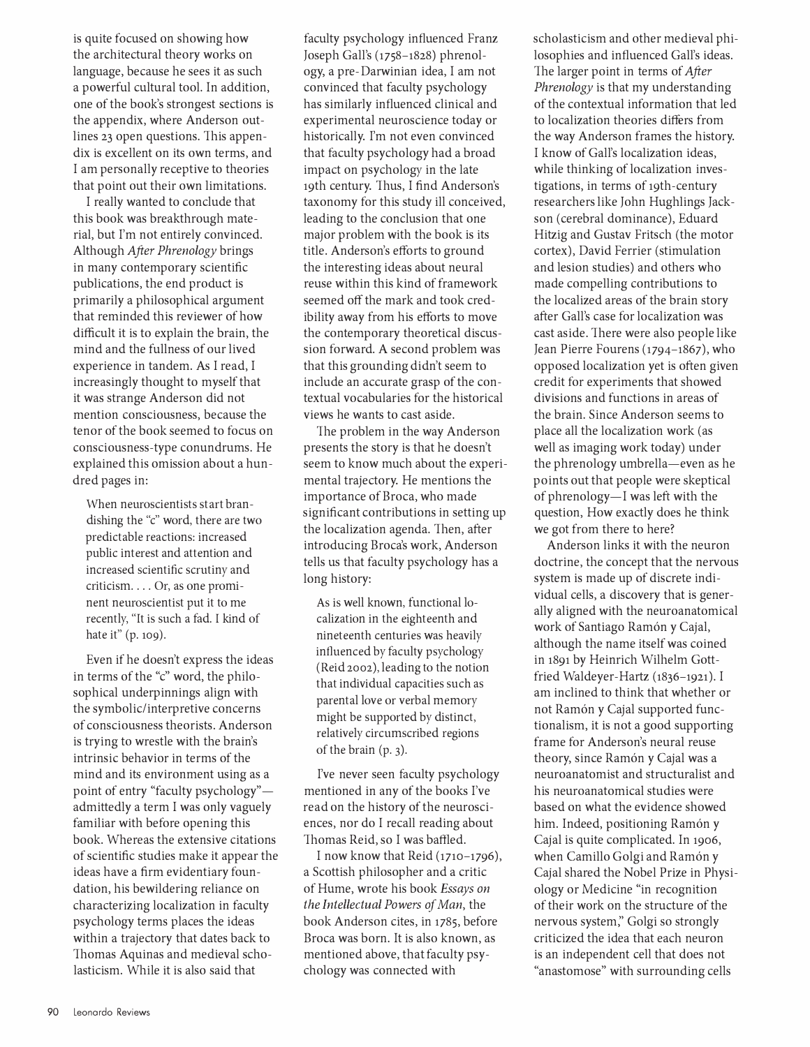is quite focused on showing how the architectural theory works on language, because he sees it as such a powerful cultural tool. In addition, one of the book's strongest sections is the appendix, where Anderson outlines 23 open questions. This appendix is excellent on its own terms, and I am personally receptive to theories that point out their own limitations.

I really wanted to conclude that this book was breakthrough material, but I'm not entirely convinced. Although *After Phrenology* brings in many contemporary scientific publications, the end product is primarily a philosophical argument that reminded this reviewer of how difficult it is to explain the brain, the mind and the fullness of our lived experience in tandem. As I read, I increasingly thought to myself that it was strange Anderson did not mention consciousness, because the tenor of the book seemed to focus on consciousness-type conundrums. He explained this omission about a hundred pages in:

When neuroscientists start brandishing the "c" word, there are two predictable reactions: increased public interest and attention and increased scientific scrutiny and  $criticism. \ldots$  Or, as one prominent neuroscientist put it to me recently, "It is such a fad. I kind of hate it" (p. 109).

Even if he doesn't express the ideas in terms of the "c" word, the philosophical underpinnings align with the symbolic/interpretive concerns of consciousness theorists. Anderson is trying to wrestle with the brain's intrinsic behavior in terms of the mind and its environment using as a point of entry "faculty psychology"admittedly a term I was only vaguely familiar with before opening this book. Whereas the extensive citations of scientific studies make it appear the ideas have a firm evidentiary foundation, his bewildering reliance on characterizing localization in faculty psychology terms places the ideas within a trajectory that dates back to Thomas Aquinas and medieval scholasticism. While it is also said that

faculty psychology influenced Franz Joseph Gall's (1758-1828) phrenology, a pre-Darwinian idea, I am not convinced that faculty psychology has similarly influenced clinical and experimental neuroscience today or historically. I'm not even convinced that faculty psychology had a broad impact on psychology in the late 19th century. Thus, I find Anderson's taxonomy for this study ill conceived, leading to the conclusion that one major problem with the book is its title. Anderson's efforts to ground the interesting ideas about neural reuse within this kind of framework seemed off the mark and took credibility away from his efforts to move the contemporary theoretical discussion forward. A second problem was that this grounding didn't seem to include an accurate grasp of the contextual vocabularies for the historical views he wants to cast aside.

The problem in the way Anderson presents the story is that he doesn't seem to know much about the experimental trajectory. He mentions the importance of Broca, who made significant contributions in setting up the localization agenda. Then, after introducing Broca's work, Anderson tells us that faculty psychology has a long history:

As is well known, functional localization in the eighteenth and nineteenth centuries was heavily influenced by faculty psychology (Reid 2002), leading to the notion that individual capacities such as parental love or verbal memory might be supported by distinct, relatively circumscribed regions of the brain (p. 3).

I've never seen faculty psychology mentioned in any of the books I've read on the history of the neurosciences, nor do I recall reading about Thomas Reid, so I was baffled.

I now know that Reid (1710-1796), a Scottish philosopher and a critic of Hume, wrote his book *Essays on the Intellectual Powers of Man,* the book Anderson cites, in 1785, before Broca was born. It is also known, as mentioned above, that faculty psychology was connected with

scholasticism and other medieval philosophies and influenced Gall's ideas. The larger point in terms of *After Phrenology* is that my understanding of the contextual information that led to localization theories differs from the way Anderson frames the history. I know of Gall's localization ideas, while thinking of localization investigations, in terms of 19th-century researchers like John Hughlings Jackson (cerebral dominance), Eduard Hitzig and Gustav Fritsch (the motor cortex), David Ferrier (stimulation and lesion studies) and others who made compelling contributions to the localized areas of the brain story after Gall's case for localization was cast aside. There were also people like Jean Pierre Fourens (1794-1867), who opposed localization yet is often given credit for experiments that showed divisions and functions in areas of the brain. Since Anderson seems to place all the localization work (as well as imaging work today) under the phrenology umbrella-even as he points out that people were skeptical of phrenology-I was left with the question, How exactly does he think we got from there to here?

Anderson links it with the neuron doctrine, the concept that the nervous system is made up of discrete individual cells, a discovery that is generally aligned with the neuroanatomical work of Santiago Ramón y Cajal, although the name itself was coined in 1891 by Heinrich Wilhelm Gottfried Waldeyer-Hartz (1836-1921). I am inclined to think that whether or not Ramón y Cajal supported functionalism, it is not a good supporting frame for Anderson's neural reuse theory, since Ramón y Cajal was a neuroanatomist and structuralist and his neuroanatomical studies were based on what the evidence showed him. Indeed, positioning Ramón y Cajal is quite complicated. In 1906, when Camillo Golgi and Ramón y Cajal shared the Nobel Prize in Physiology or Medicine "in recognition of their work on the structure of the nervous system;' Golgi so strongly criticized the idea that each neuron is an independent cell that does not "anastomose" with surrounding cells